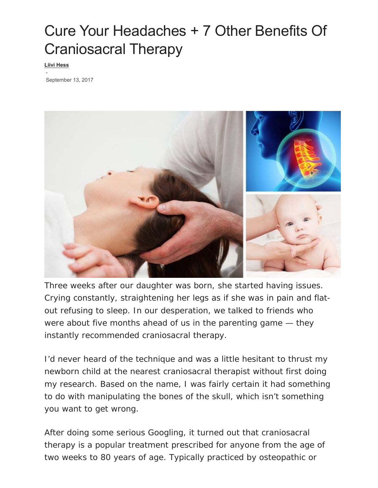# Cure Your Headaches + 7 Other Benefits Of Craniosacral Therapy

**Liivi Hess**

 - September 13, 2017



Three weeks after our daughter was born, she started having issues. Crying constantly, straightening her legs as if she was in pain and flatout refusing to sleep. In our desperation, we talked to friends who were about five months ahead of us in the parenting game — they instantly recommended craniosacral therapy.

I'd never heard of the technique and was a little hesitant to thrust my newborn child at the nearest craniosacral therapist without first doing my research. Based on the name, I was fairly certain it had something to do with manipulating the bones of the skull, which isn't something you want to get wrong.

After doing some serious Googling, it turned out that craniosacral therapy is a popular treatment prescribed for anyone from the age of two weeks to 80 years of age. Typically practiced by osteopathic or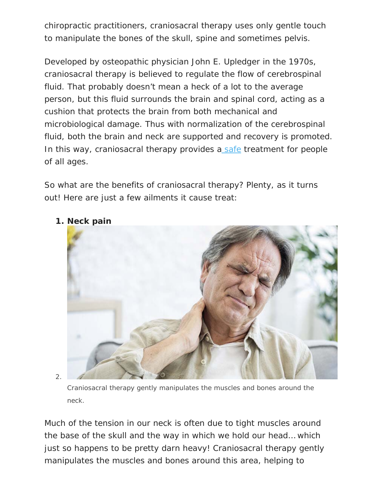chiropractic practitioners, craniosacral therapy uses only gentle touch to manipulate the bones of the skull, spine and sometimes pelvis.

Developed by osteopathic physician John E. Upledger in the 1970s, craniosacral therapy is believed to regulate the flow of cerebrospinal fluid. That probably doesn't mean a heck of a lot to the average person, but this fluid surrounds the brain and spinal cord, acting as a cushion that protects the brain from both mechanical and microbiological damage. Thus with normalization of the cerebrospinal fluid, both the brain and neck are supported and recovery is promoted. In this way, craniosacral therapy provides a safe treatment for people of all ages.

So what are the benefits of craniosacral therapy? Plenty, as it turns out! Here are just a few ailments it cause treat:



**1. Neck pain** 

2.

Craniosacral therapy gently manipulates the muscles and bones around the neck.

Much of the tension in our neck is often due to tight muscles around the base of the skull and the way in which we hold our head… which just so happens to be pretty darn heavy! Craniosacral therapy gently manipulates the muscles and bones around this area, helping to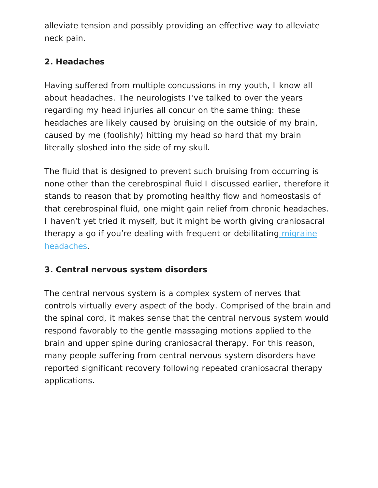alleviate tension and possibly providing an effective way to alleviate neck pain.

# **2. Headaches**

Having suffered from multiple concussions in my youth, I know all about headaches. The neurologists I've talked to over the years regarding my head injuries all concur on the same thing: these headaches are likely caused by bruising on the outside of my brain, caused by me (foolishly) hitting my head so hard that my brain literally sloshed into the side of my skull.

The fluid that is designed to prevent such bruising from occurring is none other than the cerebrospinal fluid I discussed earlier, therefore it stands to reason that by promoting healthy flow and homeostasis of that cerebrospinal fluid, one might gain relief from chronic headaches. I haven't yet tried it myself, but it might be worth giving craniosacral therapy a go if you're dealing with frequent or debilitating migraine headaches.

# **3. Central nervous system disorders**

The central nervous system is a complex system of nerves that controls virtually every aspect of the body. Comprised of the brain and the spinal cord, it makes sense that the central nervous system would respond favorably to the gentle massaging motions applied to the brain and upper spine during craniosacral therapy. For this reason, many people suffering from central nervous system disorders have reported significant recovery following repeated craniosacral therapy applications.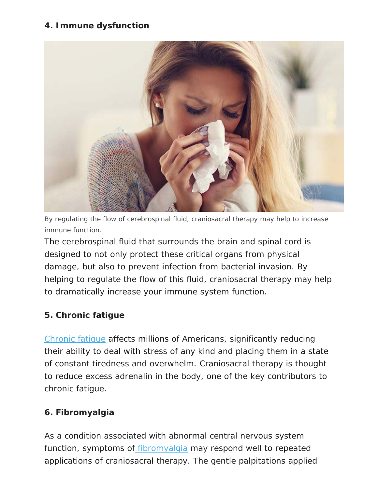#### **4. Immune dysfunction**



By regulating the flow of cerebrospinal fluid, craniosacral therapy may help to increase immune function.

The cerebrospinal fluid that surrounds the brain and spinal cord is designed to not only protect these critical organs from physical damage, but also to prevent infection from bacterial invasion. By helping to regulate the flow of this fluid, craniosacral therapy may help to dramatically increase your immune system function.

## **5. Chronic fatigue**

Chronic fatigue affects millions of Americans, significantly reducing their ability to deal with stress of any kind and placing them in a state of constant tiredness and overwhelm. Craniosacral therapy is thought to reduce excess adrenalin in the body, one of the key contributors to chronic fatigue.

## **6. Fibromyalgia**

As a condition associated with abnormal central nervous system function, symptoms of fibromyalgia may respond well to repeated applications of craniosacral therapy. The gentle palpitations applied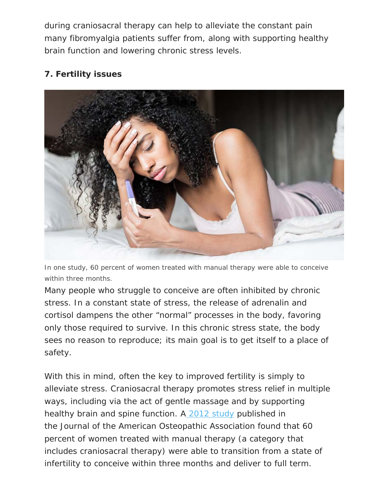during craniosacral therapy can help to alleviate the constant pain many fibromyalgia patients suffer from, along with supporting healthy brain function and lowering chronic stress levels.

## **7. Fertility issues**



In one study, 60 percent of women treated with manual therapy were able to conceive within three months.

Many people who struggle to conceive are often inhibited by chronic stress. In a constant state of stress, the release of adrenalin and cortisol dampens the other "normal" processes in the body, favoring only those required to survive. In this chronic stress state, the body sees no reason to reproduce; its main goal is to get itself to a place of safety.

With this in mind, often the key to improved fertility is simply to alleviate stress. Craniosacral therapy promotes stress relief in multiple ways, including via the act of gentle massage and by supporting healthy brain and spine function. A 2012 study published in the *Journal of the American Osteopathic Association* found that 60 percent of women treated with manual therapy (a category that includes craniosacral therapy) were able to transition from a state of infertility to conceive within three months and deliver to full term.